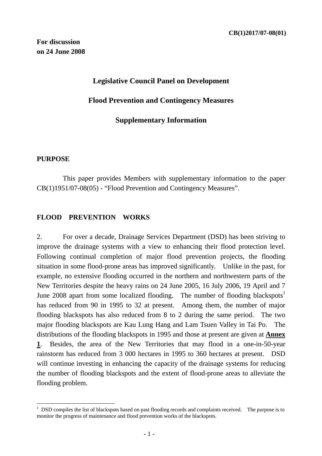## **Legislative Council Panel on Development**

### **Flood Prevention and Contingency Measures**

### **Supplementary Information**

#### **PURPOSE**

 $\overline{a}$ 

 This paper provides Members with supplementary information to the paper CB(1)1951/07-08(05) - "Flood Prevention and Contingency Measures".

#### **FLOOD PREVENTION WORKS**

2. For over a decade, Drainage Services Department (DSD) has been striving to improve the drainage systems with a view to enhancing their flood protection level. Following continual completion of major flood prevention projects, the flooding situation in some flood-prone areas has improved significantly. Unlike in the past, for example, no extensive flooding occurred in the northern and northwestern parts of the New Territories despite the heavy rains on 24 June 2005, 16 July 2006, 19 April and 7 June 2008 apart from some localized flooding. The number of flooding blackspots<sup>1</sup> has reduced from 90 in 1995 to 32 at present. Among them, the number of major flooding blackspots has also reduced from 8 to 2 during the same period. The two major flooding blackspots are Kau Lung Hang and Lam Tsuen Valley in Tai Po. The distributions of the flooding blackspots in 1995 and those at present are given at **Annex 1**. Besides, the area of the New Territories that may flood in a one-in-50-year rainstorm has reduced from 3 000 hectares in 1995 to 360 hectares at present. DSD will continue investing in enhancing the capacity of the drainage systems for reducing the number of flooding blackspots and the extent of flood-prone areas to alleviate the flooding problem.

<sup>&</sup>lt;sup>1</sup> DSD compiles the list of blackspots based on past flooding records and complaints received. The purpose is to monitor the progress of maintenance and flood prevention works of the blackspots.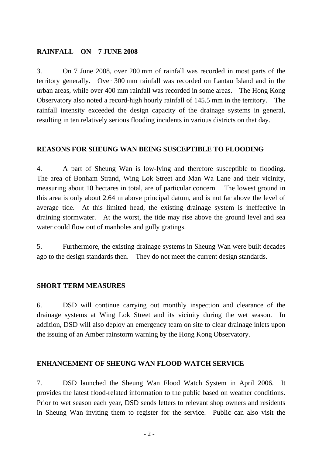## **RAINFALL ON 7 JUNE 2008**

3. On 7 June 2008, over 200 mm of rainfall was recorded in most parts of the territory generally. Over 300 mm rainfall was recorded on Lantau Island and in the urban areas, while over 400 mm rainfall was recorded in some areas. The Hong Kong Observatory also noted a record-high hourly rainfall of 145.5 mm in the territory. The rainfall intensity exceeded the design capacity of the drainage systems in general, resulting in ten relatively serious flooding incidents in various districts on that day.

## **REASONS FOR SHEUNG WAN BEING SUSCEPTIBLE TO FLOODING**

4. A part of Sheung Wan is low-lying and therefore susceptible to flooding. The area of Bonham Strand, Wing Lok Street and Man Wa Lane and their vicinity, measuring about 10 hectares in total, are of particular concern. The lowest ground in this area is only about 2.64 m above principal datum, and is not far above the level of average tide. At this limited head, the existing drainage system is ineffective in draining stormwater. At the worst, the tide may rise above the ground level and sea water could flow out of manholes and gully gratings.

5. Furthermore, the existing drainage systems in Sheung Wan were built decades ago to the design standards then. They do not meet the current design standards.

## **SHORT TERM MEASURES**

6. DSD will continue carrying out monthly inspection and clearance of the drainage systems at Wing Lok Street and its vicinity during the wet season. In addition, DSD will also deploy an emergency team on site to clear drainage inlets upon the issuing of an Amber rainstorm warning by the Hong Kong Observatory.

## **ENHANCEMENT OF SHEUNG WAN FLOOD WATCH SERVICE**

7. DSD launched the Sheung Wan Flood Watch System in April 2006. It provides the latest flood-related information to the public based on weather conditions. Prior to wet season each year, DSD sends letters to relevant shop owners and residents in Sheung Wan inviting them to register for the service. Public can also visit the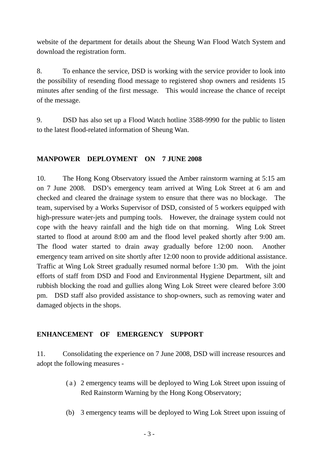website of the department for details about the Sheung Wan Flood Watch System and download the registration form.

8. To enhance the service, DSD is working with the service provider to look into the possibility of resending flood message to registered shop owners and residents 15 minutes after sending of the first message. This would increase the chance of receipt of the message.

9. DSD has also set up a Flood Watch hotline 3588-9990 for the public to listen to the latest flood-related information of Sheung Wan.

# **MANPOWER DEPLOYMENT ON 7 JUNE 2008**

10. The Hong Kong Observatory issued the Amber rainstorm warning at 5:15 am on 7 June 2008. DSD's emergency team arrived at Wing Lok Street at 6 am and checked and cleared the drainage system to ensure that there was no blockage. The team, supervised by a Works Supervisor of DSD, consisted of 5 workers equipped with high-pressure water-jets and pumping tools. However, the drainage system could not cope with the heavy rainfall and the high tide on that morning. Wing Lok Street started to flood at around 8:00 am and the flood level peaked shortly after 9:00 am. The flood water started to drain away gradually before 12:00 noon. Another emergency team arrived on site shortly after 12:00 noon to provide additional assistance. Traffic at Wing Lok Street gradually resumed normal before 1:30 pm. With the joint efforts of staff from DSD and Food and Environmental Hygiene Department, silt and rubbish blocking the road and gullies along Wing Lok Street were cleared before 3:00 pm. DSD staff also provided assistance to shop-owners, such as removing water and damaged objects in the shops.

## **ENHANCEMENT OF EMERGENCY SUPPORT**

11. Consolidating the experience on 7 June 2008, DSD will increase resources and adopt the following measures -

- (a) 2 emergency teams will be deployed to Wing Lok Street upon issuing of Red Rainstorm Warning by the Hong Kong Observatory;
- (b) 3 emergency teams will be deployed to Wing Lok Street upon issuing of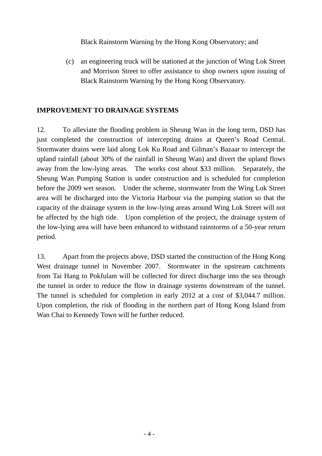Black Rainstorm Warning by the Hong Kong Observatory; and

(c) an engineering truck will be stationed at the junction of Wing Lok Street and Morrison Street to offer assistance to shop owners upon issuing of Black Rainstorm Warning by the Hong Kong Observatory.

## **IMPROVEMENT TO DRAINAGE SYSTEMS**

12. To alleviate the flooding problem in Sheung Wan in the long term, DSD has just completed the construction of intercepting drains at Queen's Road Central. Stormwater drains were laid along Lok Ku Road and Gilman's Bazaar to intercept the upland rainfall (about 30% of the rainfall in Sheung Wan) and divert the upland flows away from the low-lying areas. The works cost about \$33 million. Separately, the Sheung Wan Pumping Station is under construction and is scheduled for completion before the 2009 wet season. Under the scheme, stormwater from the Wing Lok Street area will be discharged into the Victoria Harbour via the pumping station so that the capacity of the drainage system in the low-lying areas around Wing Lok Street will not be affected by the high tide. Upon completion of the project, the drainage system of the low-lying area will have been enhanced to withstand rainstorms of a 50-year return period.

13. Apart from the projects above, DSD started the construction of the Hong Kong West drainage tunnel in November 2007. Stormwater in the upstream catchments from Tai Hang to Pokfulam will be collected for direct discharge into the sea through the tunnel in order to reduce the flow in drainage systems downstream of the tunnel. The tunnel is scheduled for completion in early 2012 at a cost of \$3,044.7 million. Upon completion, the risk of flooding in the northern part of Hong Kong Island from Wan Chai to Kennedy Town will be further reduced.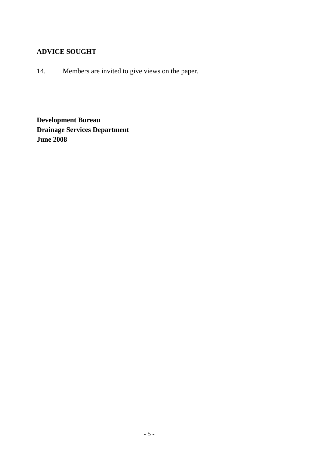# **ADVICE SOUGHT**

14. Members are invited to give views on the paper.

**Development Bureau Drainage Services Department June 2008**